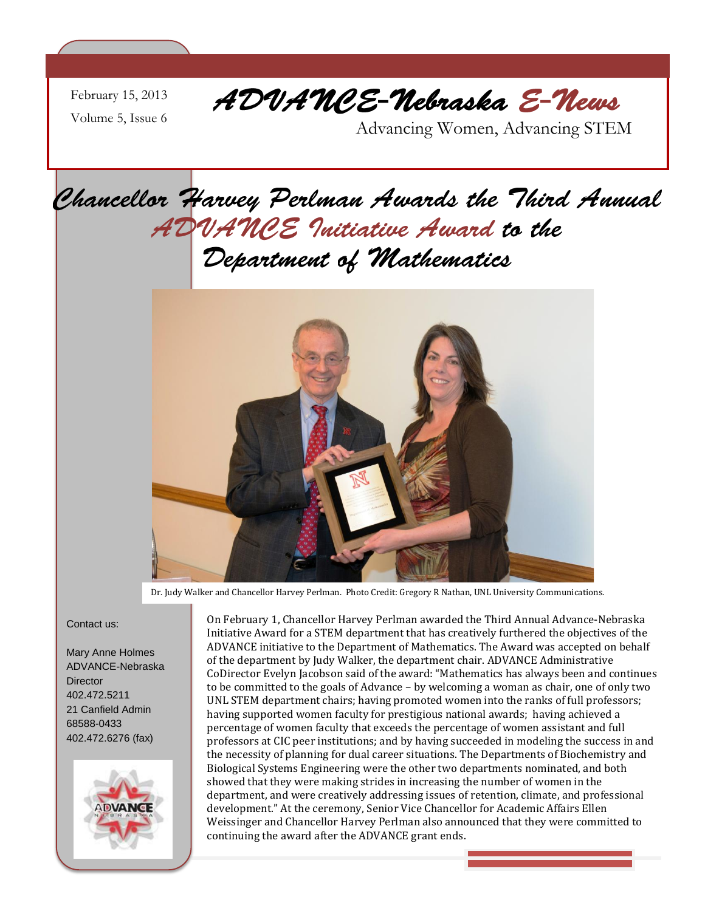February 15, 2013 Volume 5, Issue 6

ADVANCE-Nebraska E-News

Advancing Women, Advancing STEM

### Chancellor Harvey Perlman Awards the Third Annual ADVANCE Initiative Award to the Department of Mathematics



Dr. Judy Walker and Chancellor Harvey Perlman. Photo Credit: Gregory R Nathan, UNL University Communications.

#### Contact us:

Mary Anne Holmes ADVANCE-Nebraska **Director** 402.472.5211 21 Canfield Admin 68588-0433 402.472.6276 (fax)



On February 1, Chancellor Harvey Perlman awarded the Third Annual Advance-Nebraska Initiative Award for a STEM department that has creatively furthered the objectives of the ADVANCE initiative to the Department of Mathematics. The Award was accepted on behalf of the department by Judy Walker, the department chair. ADVANCE Administrative CoDirector Evelyn Jacobson said of the award: "Mathematics has always been and continues to be committed to the goals of Advance – by welcoming a woman as chair, one of only two UNL STEM department chairs; having promoted women into the ranks of full professors; having supported women faculty for prestigious national awards; having achieved a percentage of women faculty that exceeds the percentage of women assistant and full professors at CIC peer institutions; and by having succeeded in modeling the success in and the necessity of planning for dual career situations. The Departments of Biochemistry and Biological Systems Engineering were the other two departments nominated, and both showed that they were making strides in increasing the number of women in the department, and were creatively addressing issues of retention, climate, and professional development." At the ceremony, Senior Vice Chancellor for Academic Affairs Ellen Weissinger and Chancellor Harvey Perlman also announced that they were committed to continuing the award after the ADVANCE grant ends.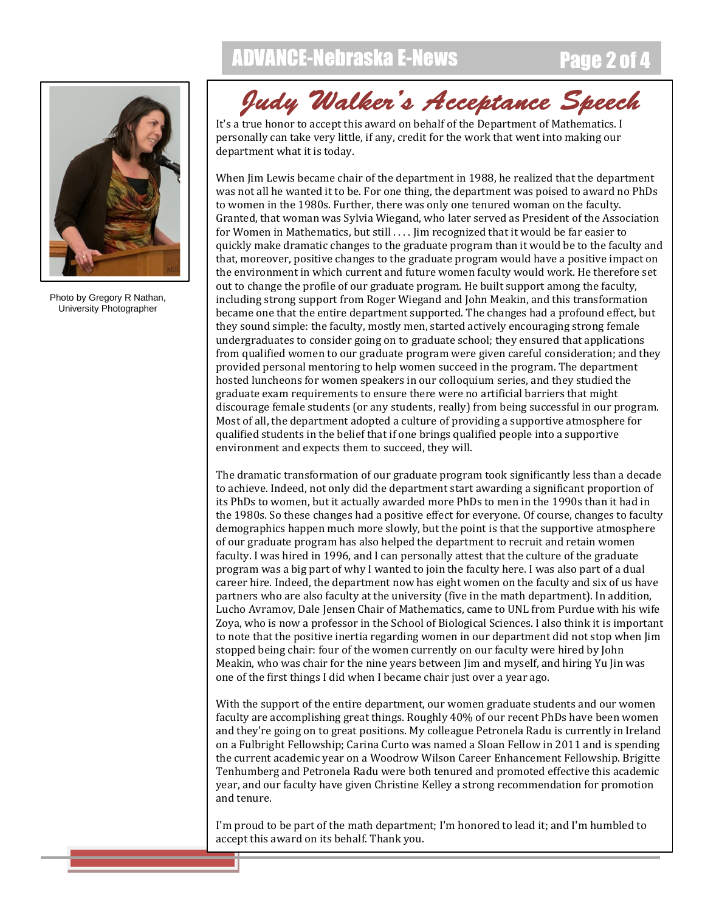### ADVANCE-Nebraska E-News Page 2 of 4



Photo by Gregory R Nathan, University Photographer

# Judy Walker's Acceptance Speech

personally can take very little, if any, credit for the work that went into making our department what it is today.

When Jim Lewis became chair of the department in 1988, he realized that the department was not all he wanted it to be. For one thing, the department was poised to award no PhDs to women in the 1980s. Further, there was only one tenured woman on the faculty. Granted, that woman was Sylvia Wiegand, who later served as President of the Association for Women in Mathematics, but still .... Jim recognized that it would be far easier to quickly make dramatic changes to the graduate program than it would be to the faculty and that, moreover, positive changes to the graduate program would have a positive impact on the environment in which current and future women faculty would work. He therefore set out to change the profile of our graduate program. He built support among the faculty, including strong support from Roger Wiegand and John Meakin, and this transformation became one that the entire department supported. The changes had a profound effect, but they sound simple: the faculty, mostly men, started actively encouraging strong female undergraduates to consider going on to graduate school; they ensured that applications from qualified women to our graduate program were given careful consideration; and they provided personal mentoring to help women succeed in the program. The department hosted luncheons for women speakers in our colloquium series, and they studied the graduate exam requirements to ensure there were no artificial barriers that might discourage female students (or any students, really) from being successful in our program. Most of all, the department adopted a culture of providing a supportive atmosphere for qualified students in the belief that if one brings qualified people into a supportive environment and expects them to succeed, they will.

The dramatic transformation of our graduate program took significantly less than a decade to achieve. Indeed, not only did the department start awarding a significant proportion of its PhDs to women, but it actually awarded more PhDs to men in the 1990s than it had in the 1980s. So these changes had a positive effect for everyone. Of course, changes to faculty demographics happen much more slowly, but the point is that the supportive atmosphere of our graduate program has also helped the department to recruit and retain women faculty. I was hired in 1996, and I can personally attest that the culture of the graduate program was a big part of why I wanted to join the faculty here. I was also part of a dual career hire. Indeed, the department now has eight women on the faculty and six of us have partners who are also faculty at the university (five in the math department). In addition, Lucho Avramov, Dale Jensen Chair of Mathematics, came to UNL from Purdue with his wife Zoya, who is now a professor in the School of Biological Sciences. I also think it is important to note that the positive inertia regarding women in our department did not stop when Jim stopped being chair: four of the women currently on our faculty were hired by John Meakin, who was chair for the nine years between Jim and myself, and hiring Yu Jin was one of the first things I did when I became chair just over a year ago.

With the support of the entire department, our women graduate students and our women faculty are accomplishing great things. Roughly 40% of our recent PhDs have been women and they're going on to great positions. My colleague Petronela Radu is currently in Ireland on a Fulbright Fellowship; Carina Curto was named a Sloan Fellow in 2011 and is spending the current academic year on a Woodrow Wilson Career Enhancement Fellowship. Brigitte Tenhumberg and Petronela Radu were both tenured and promoted effective this academic year, and our faculty have given Christine Kelley a strong recommendation for promotion and tenure.

I'm proud to be part of the math department; I'm honored to lead it; and I'm humbled to accept this award on its behalf. Thank you.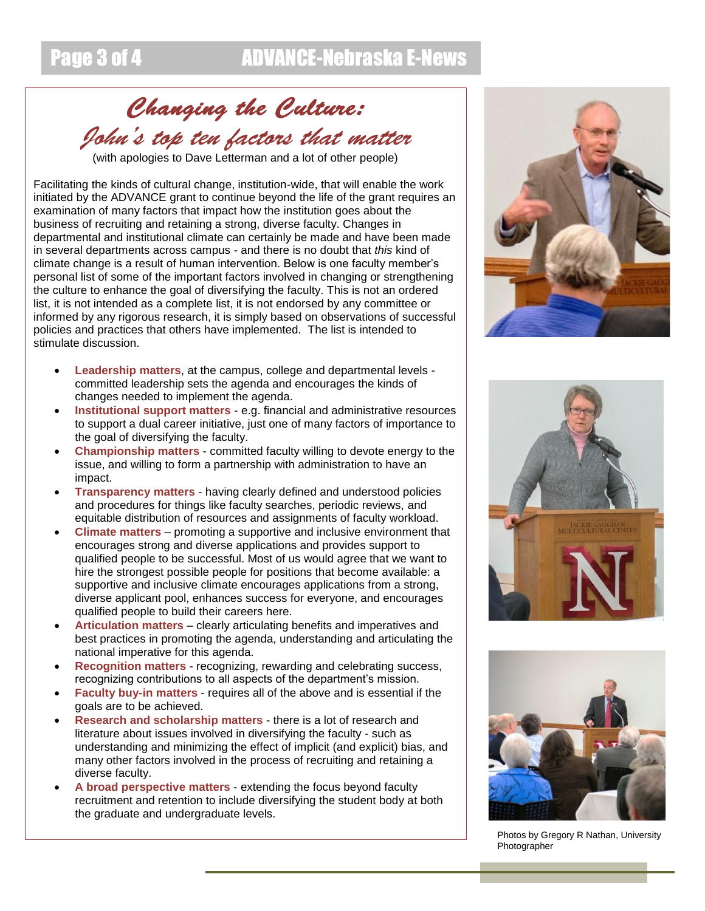## Changing the Culture: John's top ten factors that matter

(with apologies to Dave Letterman and a lot of other people)

Facilitating the kinds of cultural change, institution-wide, that will enable the work initiated by the ADVANCE grant to continue beyond the life of the grant requires an examination of many factors that impact how the institution goes about the business of recruiting and retaining a strong, diverse faculty. Changes in departmental and institutional climate can certainly be made and have been made in several departments across campus - and there is no doubt that *this* kind of climate change is a result of human intervention. Below is one faculty member's personal list of some of the important factors involved in changing or strengthening the culture to enhance the goal of diversifying the faculty. This is not an ordered list, it is not intended as a complete list, it is not endorsed by any committee or informed by any rigorous research, it is simply based on observations of successful policies and practices that others have implemented. The list is intended to stimulate discussion.

- **Leadership matters**, at the campus, college and departmental levels committed leadership sets the agenda and encourages the kinds of changes needed to implement the agenda.
- **Institutional support matters** e.g. financial and administrative resources to support a dual career initiative, just one of many factors of importance to the goal of diversifying the faculty.
- **Championship matters** committed faculty willing to devote energy to the issue, and willing to form a partnership with administration to have an impact.
- **Transparency matters** having clearly defined and understood policies and procedures for things like faculty searches, periodic reviews, and equitable distribution of resources and assignments of faculty workload.
- **Climate matters** promoting a supportive and inclusive environment that encourages strong and diverse applications and provides support to qualified people to be successful. Most of us would agree that we want to hire the strongest possible people for positions that become available: a supportive and inclusive climate encourages applications from a strong, diverse applicant pool, enhances success for everyone, and encourages qualified people to build their careers here.
- **Articulation matters** clearly articulating benefits and imperatives and best practices in promoting the agenda, understanding and articulating the national imperative for this agenda.
- **Recognition matters** recognizing, rewarding and celebrating success, recognizing contributions to all aspects of the department's mission.
- **Faculty buy-in matters** requires all of the above and is essential if the goals are to be achieved.
- **Research and scholarship matters** there is a lot of research and literature about issues involved in diversifying the faculty - such as understanding and minimizing the effect of implicit (and explicit) bias, and many other factors involved in the process of recruiting and retaining a diverse faculty.
- **A broad perspective matters** extending the focus beyond faculty recruitment and retention to include diversifying the student body at both the graduate and undergraduate levels.







Photos by Gregory R Nathan, University Photographer